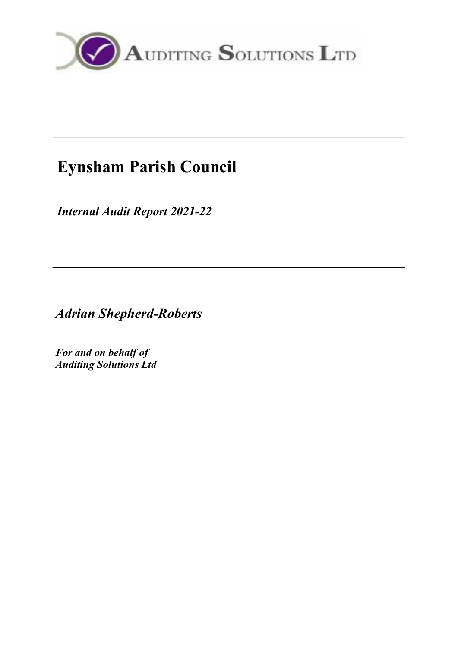

# Eynsham Parish Council

Internal Audit Report 2021-22

Adrian Shepherd-Roberts

For and on behalf of Auditing Solutions Ltd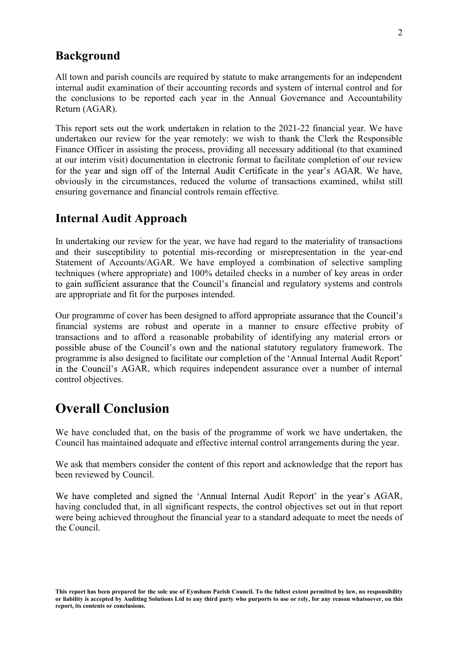### Background

All town and parish councils are required by statute to make arrangements for an independent internal audit examination of their accounting records and system of internal control and for the conclusions to be reported each year in the Annual Governance and Accountability Return (AGAR).

This report sets out the work undertaken in relation to the 2021-22 financial year. We have undertaken our review for the year remotely: we wish to thank the Clerk the Responsible Finance Officer in assisting the process, providing all necessary additional (to that examined at our interim visit) documentation in electronic format to facilitate completion of our review for the year and sign off of the Internal Audit Certificate in the year's AGAR. We have, obviously in the circumstances, reduced the volume of transactions examined, whilst still ensuring governance and financial controls remain effective.

#### Internal Audit Approach

In undertaking our review for the year, we have had regard to the materiality of transactions and their susceptibility to potential mis-recording or misrepresentation in the year-end Statement of Accounts/AGAR. We have employed a combination of selective sampling techniques (where appropriate) and 100% detailed checks in a number of key areas in order to gain sufficient assurance that the Council's financial and regulatory systems and controls are appropriate and fit for the purposes intended.

Our programme of cover has been designed to afford appropriate assurance that the Council's financial systems are robust and operate in a manner to ensure effective probity of transactions and to afford a reasonable probability of identifying any material errors or possible abuse of the Council's own and the national statutory regulatory framework. The programme is also designed to facilitate our completion of the 'Annual Internal Audit Report' in the Council's AGAR, which requires independent assurance over a number of internal control objectives.

### Overall Conclusion

We have concluded that, on the basis of the programme of work we have undertaken, the Council has maintained adequate and effective internal control arrangements during the year.

We ask that members consider the content of this report and acknowledge that the report has been reviewed by Council.

We have completed and signed the 'Annual Internal Audit Report' in the year's AGAR, having concluded that, in all significant respects, the control objectives set out in that report were being achieved throughout the financial year to a standard adequate to meet the needs of the Council.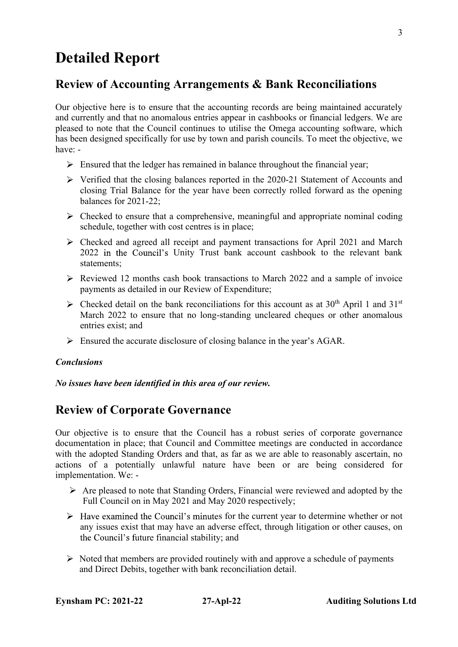## Detailed Report

### Review of Accounting Arrangements & Bank Reconciliations

Our objective here is to ensure that the accounting records are being maintained accurately and currently and that no anomalous entries appear in cashbooks or financial ledgers. We are pleased to note that the Council continues to utilise the Omega accounting software, which has been designed specifically for use by town and parish councils. To meet the objective, we have: -

- $\triangleright$  Ensured that the ledger has remained in balance throughout the financial year;
- $\triangleright$  Verified that the closing balances reported in the 2020-21 Statement of Accounts and closing Trial Balance for the year have been correctly rolled forward as the opening balances for 2021-22;
- $\triangleright$  Checked to ensure that a comprehensive, meaningful and appropriate nominal coding schedule, together with cost centres is in place;
- $\triangleright$  Checked and agreed all receipt and payment transactions for April 2021 and March 2022 in the Council's Unity Trust bank account cashbook to the relevant bank statements;
- $\triangleright$  Reviewed 12 months cash book transactions to March 2022 and a sample of invoice payments as detailed in our Review of Expenditure;
- $\triangleright$  Checked detail on the bank reconciliations for this account as at 30<sup>th</sup> April 1 and 31<sup>st</sup> March 2022 to ensure that no long-standing uncleared cheques or other anomalous entries exist; and
- $\triangleright$  Ensured the accurate disclosure of closing balance in the year's AGAR.

#### Conclusions

No issues have been identified in this area of our review.

### Review of Corporate Governance

Our objective is to ensure that the Council has a robust series of corporate governance documentation in place; that Council and Committee meetings are conducted in accordance with the adopted Standing Orders and that, as far as we are able to reasonably ascertain, no actions of a potentially unlawful nature have been or are being considered for implementation. We: -

- $\triangleright$  Are pleased to note that Standing Orders, Financial were reviewed and adopted by the Full Council on in May 2021 and May 2020 respectively;
- $\triangleright$  Have examined the Council's minutes for the current year to determine whether or not any issues exist that may have an adverse effect, through litigation or other causes, on the Council's future financial stability; and
- $\triangleright$  Noted that members are provided routinely with and approve a schedule of payments and Direct Debits, together with bank reconciliation detail.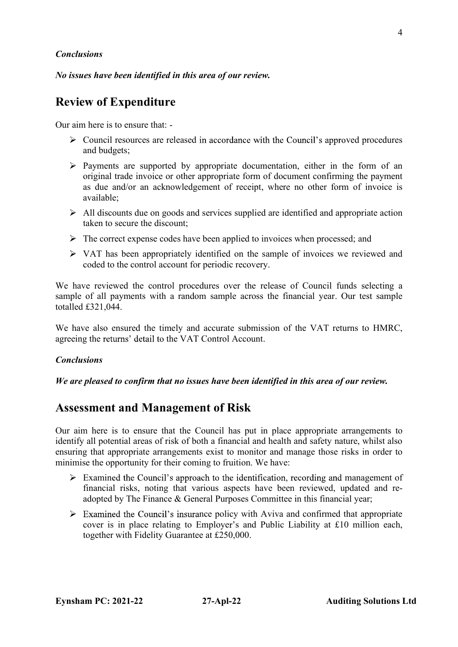#### **Conclusions**

No issues have been identified in this area of our review.

### Review of Expenditure

Our aim here is to ensure that: -

- $\triangleright$  Council resources are released in accordance with the Council's approved procedures and budgets;
- $\triangleright$  Payments are supported by appropriate documentation, either in the form of an original trade invoice or other appropriate form of document confirming the payment as due and/or an acknowledgement of receipt, where no other form of invoice is available;
- $\geq$  All discounts due on goods and services supplied are identified and appropriate action taken to secure the discount;
- $\triangleright$  The correct expense codes have been applied to invoices when processed; and
- $\triangleright$  VAT has been appropriately identified on the sample of invoices we reviewed and coded to the control account for periodic recovery.

We have reviewed the control procedures over the release of Council funds selecting a sample of all payments with a random sample across the financial year. Our test sample totalled £321,044.

We have also ensured the timely and accurate submission of the VAT returns to HMRC, agreeing the returns' detail to the VAT Control Account.

#### **Conclusions**

#### We are pleased to confirm that no issues have been identified in this area of our review.

### Assessment and Management of Risk

Our aim here is to ensure that the Council has put in place appropriate arrangements to identify all potential areas of risk of both a financial and health and safety nature, whilst also ensuring that appropriate arrangements exist to monitor and manage those risks in order to minimise the opportunity for their coming to fruition. We have:

- $\triangleright$  Examined the Council's approach to the identification, recording and management of financial risks, noting that various aspects have been reviewed, updated and readopted by The Finance & General Purposes Committee in this financial year;
- $\triangleright$  Examined the Council's insurance policy with Aviva and confirmed that appropriate cover is in place relating to Employer's and Public Liability at  $£10$  million each, together with Fidelity Guarantee at £250,000.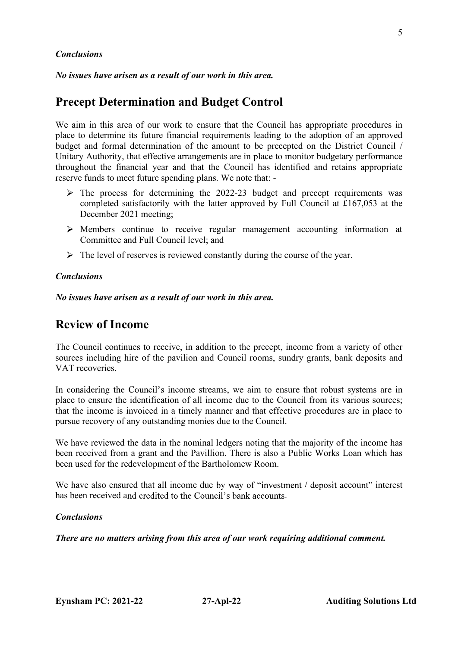#### **Conclusions**

No issues have arisen as a result of our work in this area.

### Precept Determination and Budget Control

We aim in this area of our work to ensure that the Council has appropriate procedures in place to determine its future financial requirements leading to the adoption of an approved budget and formal determination of the amount to be precepted on the District Council / Unitary Authority, that effective arrangements are in place to monitor budgetary performance throughout the financial year and that the Council has identified and retains appropriate reserve funds to meet future spending plans. We note that: -

- $\triangleright$  The process for determining the 2022-23 budget and precept requirements was completed satisfactorily with the latter approved by Full Council at £167,053 at the December 2021 meeting;
- $\triangleright$  Members continue to receive regular management accounting information at Committee and Full Council level; and
- $\triangleright$  The level of reserves is reviewed constantly during the course of the year.

#### **Conclusions**

No issues have arisen as a result of our work in this area.

### Review of Income

The Council continues to receive, in addition to the precept, income from a variety of other sources including hire of the pavilion and Council rooms, sundry grants, bank deposits and VAT recoveries.

In considering the Council's income streams, we aim to ensure that robust systems are in place to ensure the identification of all income due to the Council from its various sources; that the income is invoiced in a timely manner and that effective procedures are in place to pursue recovery of any outstanding monies due to the Council.

We have reviewed the data in the nominal ledgers noting that the majority of the income has been received from a grant and the Pavillion. There is also a Public Works Loan which has been used for the redevelopment of the Bartholomew Room.

We have also ensured that all income due by way of "investment / deposit account" interest has been received and credited to the Council's bank accounts.

#### **Conclusions**

There are no matters arising from this area of our work requiring additional comment.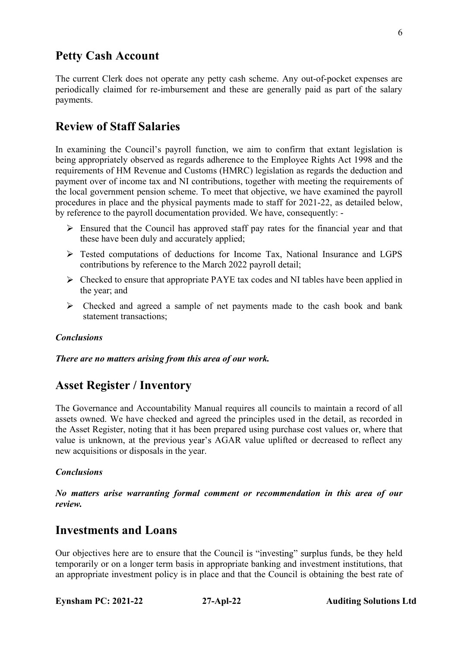### Petty Cash Account

The current Clerk does not operate any petty cash scheme. Any out-of-pocket expenses are periodically claimed for re-imbursement and these are generally paid as part of the salary payments.

### Review of Staff Salaries

In examining the Council's payroll function, we aim to confirm that extant legislation is being appropriately observed as regards adherence to the Employee Rights Act 1998 and the requirements of HM Revenue and Customs (HMRC) legislation as regards the deduction and payment over of income tax and NI contributions, together with meeting the requirements of the local government pension scheme. To meet that objective, we have examined the payroll procedures in place and the physical payments made to staff for 2021-22, as detailed below, by reference to the payroll documentation provided. We have, consequently: -

- $\triangleright$  Ensured that the Council has approved staff pay rates for the financial year and that these have been duly and accurately applied;
- Tested computations of deductions for Income Tax, National Insurance and LGPS contributions by reference to the March 2022 payroll detail;
- $\triangleright$  Checked to ensure that appropriate PAYE tax codes and NI tables have been applied in the year; and
- $\triangleright$  Checked and agreed a sample of net payments made to the cash book and bank statement transactions;

#### Conclusions

There are no matters arising from this area of our work.

### Asset Register / Inventory

The Governance and Accountability Manual requires all councils to maintain a record of all assets owned. We have checked and agreed the principles used in the detail, as recorded in the Asset Register, noting that it has been prepared using purchase cost values or, where that value is unknown, at the previous year's AGAR value uplifted or decreased to reflect any new acquisitions or disposals in the year.

#### **Conclusions**

No matters arise warranting formal comment or recommendation in this area of our review.

### Investments and Loans

Our objectives here are to ensure that the Council is "investing" surplus funds, be they held temporarily or on a longer term basis in appropriate banking and investment institutions, that an appropriate investment policy is in place and that the Council is obtaining the best rate of